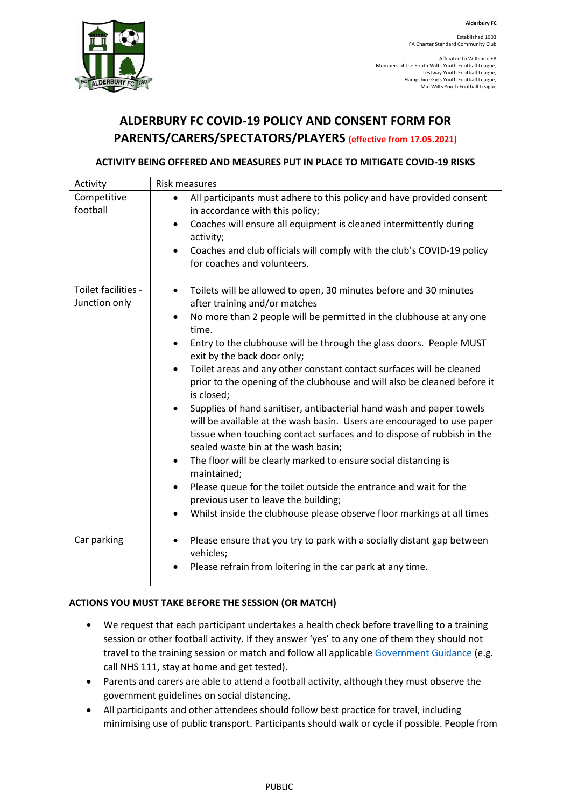

Established 1903 FA Charter Standard Community Club

Affiliated to Wiltshire FA Members of the South Wilts Youth Football League, Testway Youth Football League, Hampshire Girls Youth Football League, Mid Wilts Youth Football League

# **ALDERBURY FC COVID-19 POLICY AND CONSENT FORM FOR PARENTS/CARERS/SPECTATORS/PLAYERS (effective from 17.05.2021)**

## **ACTIVITY BEING OFFERED AND MEASURES PUT IN PLACE TO MITIGATE COVID-19 RISKS**

| <b>Risk measures</b>                                                                                                                                                                                                                                                                                                                                                                                                                                                                                                                                                                                                                                                                                                                                                                                                                                                                                                                                                                                                                                                                                           |
|----------------------------------------------------------------------------------------------------------------------------------------------------------------------------------------------------------------------------------------------------------------------------------------------------------------------------------------------------------------------------------------------------------------------------------------------------------------------------------------------------------------------------------------------------------------------------------------------------------------------------------------------------------------------------------------------------------------------------------------------------------------------------------------------------------------------------------------------------------------------------------------------------------------------------------------------------------------------------------------------------------------------------------------------------------------------------------------------------------------|
| All participants must adhere to this policy and have provided consent<br>$\bullet$<br>in accordance with this policy;<br>Coaches will ensure all equipment is cleaned intermittently during<br>$\bullet$<br>activity;<br>Coaches and club officials will comply with the club's COVID-19 policy<br>$\bullet$<br>for coaches and volunteers.                                                                                                                                                                                                                                                                                                                                                                                                                                                                                                                                                                                                                                                                                                                                                                    |
| Toilets will be allowed to open, 30 minutes before and 30 minutes<br>$\bullet$<br>after training and/or matches<br>No more than 2 people will be permitted in the clubhouse at any one<br>$\bullet$<br>time.<br>Entry to the clubhouse will be through the glass doors. People MUST<br>$\bullet$<br>exit by the back door only;<br>Toilet areas and any other constant contact surfaces will be cleaned<br>$\bullet$<br>prior to the opening of the clubhouse and will also be cleaned before it<br>is closed;<br>Supplies of hand sanitiser, antibacterial hand wash and paper towels<br>$\bullet$<br>will be available at the wash basin. Users are encouraged to use paper<br>tissue when touching contact surfaces and to dispose of rubbish in the<br>sealed waste bin at the wash basin;<br>The floor will be clearly marked to ensure social distancing is<br>$\bullet$<br>maintained;<br>Please queue for the toilet outside the entrance and wait for the<br>$\bullet$<br>previous user to leave the building;<br>Whilst inside the clubhouse please observe floor markings at all times<br>$\bullet$ |
| Please ensure that you try to park with a socially distant gap between<br>$\bullet$<br>vehicles;<br>Please refrain from loitering in the car park at any time.<br>$\bullet$                                                                                                                                                                                                                                                                                                                                                                                                                                                                                                                                                                                                                                                                                                                                                                                                                                                                                                                                    |
|                                                                                                                                                                                                                                                                                                                                                                                                                                                                                                                                                                                                                                                                                                                                                                                                                                                                                                                                                                                                                                                                                                                |

## **ACTIONS YOU MUST TAKE BEFORE THE SESSION (OR MATCH)**

- We request that each participant undertakes a health check before travelling to a training session or other football activity. If they answer 'yes' to any one of them they should not travel to the training session or match and follow all applicable [Government Guidance](https://www.nhs.uk/conditions/coronavirus-covid-19/symptoms/) (e.g. call NHS 111, stay at home and get tested).
- Parents and carers are able to attend a football activity, although they must observe the government guidelines on social distancing.
- All participants and other attendees should follow best practice for travel, including minimising use of public transport. Participants should walk or cycle if possible. People from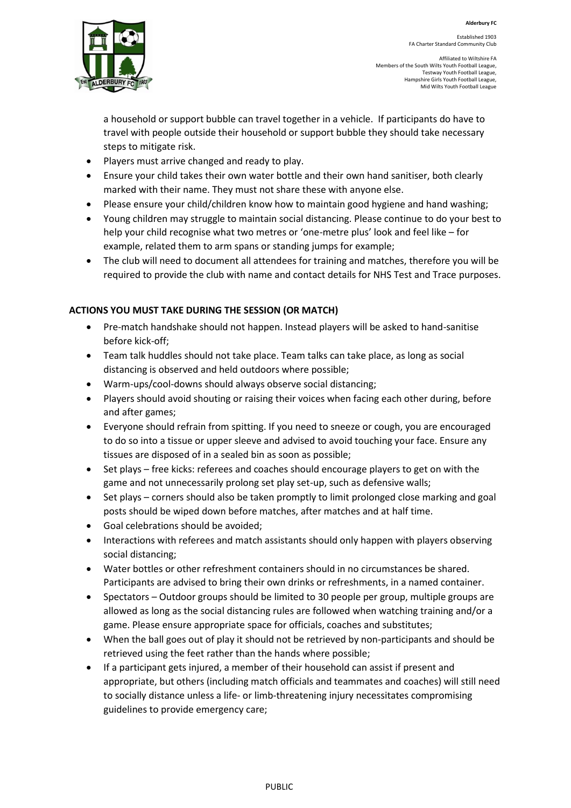

Established 1903 FA Charter Standard Community Club

Affiliated to Wiltshire FA Members of the South Wilts Youth Football League, Testway Youth Football League, Hampshire Girls Youth Football League, Mid Wilts Youth Football League

a household or support bubble can travel together in a vehicle. If participants do have to travel with people outside their household or support bubble they should take necessary steps to mitigate risk.

- Players must arrive changed and ready to play.
- Ensure your child takes their own water bottle and their own hand sanitiser, both clearly marked with their name. They must not share these with anyone else.
- Please ensure your child/children know how to maintain good hygiene and hand washing;
- Young children may struggle to maintain social distancing. Please continue to do your best to help your child recognise what two metres or 'one-metre plus' look and feel like – for example, related them to arm spans or standing jumps for example;
- The club will need to document all attendees for training and matches, therefore you will be required to provide the club with name and contact details for NHS Test and Trace purposes.

## **ACTIONS YOU MUST TAKE DURING THE SESSION (OR MATCH)**

- Pre-match handshake should not happen. Instead players will be asked to hand-sanitise before kick-off;
- Team talk huddles should not take place. Team talks can take place, as long as social distancing is observed and held outdoors where possible;
- Warm-ups/cool-downs should always observe social distancing;
- Players should avoid shouting or raising their voices when facing each other during, before and after games;
- Everyone should refrain from spitting. If you need to sneeze or cough, you are encouraged to do so into a tissue or upper sleeve and advised to avoid touching your face. Ensure any tissues are disposed of in a sealed bin as soon as possible;
- Set plays free kicks: referees and coaches should encourage players to get on with the game and not unnecessarily prolong set play set-up, such as defensive walls;
- Set plays corners should also be taken promptly to limit prolonged close marking and goal posts should be wiped down before matches, after matches and at half time.
- Goal celebrations should be avoided;
- Interactions with referees and match assistants should only happen with players observing social distancing;
- Water bottles or other refreshment containers should in no circumstances be shared. Participants are advised to bring their own drinks or refreshments, in a named container.
- Spectators Outdoor groups should be limited to 30 people per group, multiple groups are allowed as long as the social distancing rules are followed when watching training and/or a game. Please ensure appropriate space for officials, coaches and substitutes;
- When the ball goes out of play it should not be retrieved by non-participants and should be retrieved using the feet rather than the hands where possible;
- If a participant gets injured, a member of their household can assist if present and appropriate, but others (including match officials and teammates and coaches) will still need to socially distance unless a life- or limb-threatening injury necessitates compromising guidelines to provide emergency care;